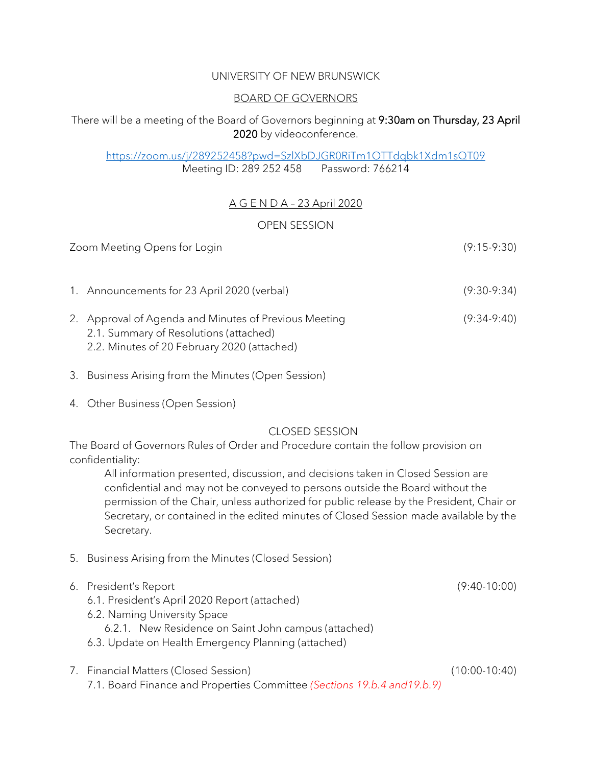### UNIVERSITY OF NEW BRUNSWICK

### BOARD OF GOVERNORS

# There will be a meeting of the Board of Governors beginning at 9:30am on Thursday, 23 April 2020 by videoconference.

#### <https://zoom.us/j/289252458?pwd=SzlXbDJGR0RiTm1OTTdqbk1Xdm1sQT09> Meeting ID: 289 252 458 Password: 766214

# A G E N D A – 23 April 2020

### OPEN SESSION

| Zoom Meeting Opens for Login                                                                                                                   |               |  |  |
|------------------------------------------------------------------------------------------------------------------------------------------------|---------------|--|--|
| 1. Announcements for 23 April 2020 (verbal)                                                                                                    | $(9:30-9:34)$ |  |  |
| 2. Approval of Agenda and Minutes of Previous Meeting<br>2.1. Summary of Resolutions (attached)<br>2.2. Minutes of 20 February 2020 (attached) | $(9:34-9:40)$ |  |  |

- 3. Business Arising from the Minutes (Open Session)
- 4. Other Business (Open Session)

## CLOSED SESSION

The Board of Governors Rules of Order and Procedure contain the follow provision on confidentiality:

All information presented, discussion, and decisions taken in Closed Session are confidential and may not be conveyed to persons outside the Board without the permission of the Chair, unless authorized for public release by the President, Chair or Secretary, or contained in the edited minutes of Closed Session made available by the Secretary.

- 5. Business Arising from the Minutes (Closed Session)
- 6. President's Report (9:40-10:00)
	- 6.1. President's April 2020 Report (attached)
	- 6.2. Naming University Space
		- 6.2.1. New Residence on Saint John campus (attached)
	- 6.3. Update on Health Emergency Planning (attached)
- 7. Financial Matters (Closed Session) (10:00-10:40) 7.1. Board Finance and Properties Committee *(Sections 19.b.4 and19.b.9)*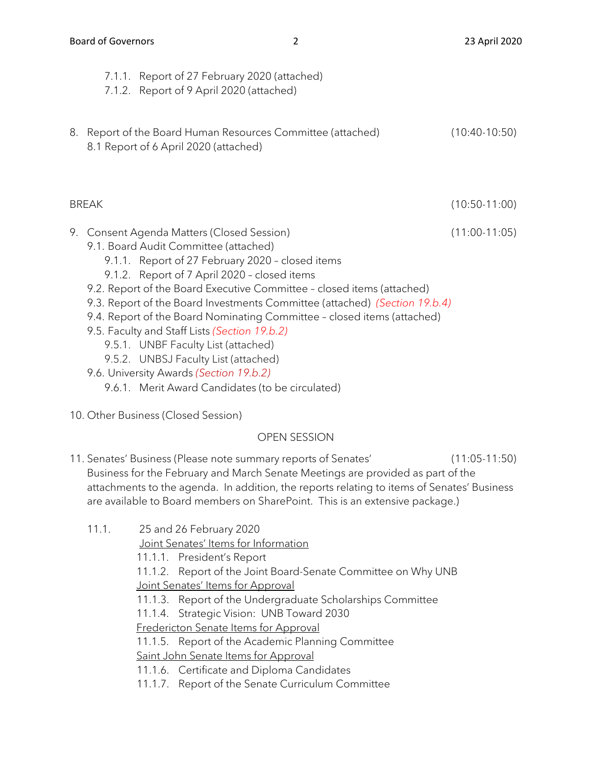|    | 7.1.1. Report of 27 February 2020 (attached)<br>7.1.2. Report of 9 April 2020 (attached)                                                                                                                                                                                                                                                                                                                                                                                                                                                                                                              |                 |
|----|-------------------------------------------------------------------------------------------------------------------------------------------------------------------------------------------------------------------------------------------------------------------------------------------------------------------------------------------------------------------------------------------------------------------------------------------------------------------------------------------------------------------------------------------------------------------------------------------------------|-----------------|
| 8. | Report of the Board Human Resources Committee (attached)<br>8.1 Report of 6 April 2020 (attached)                                                                                                                                                                                                                                                                                                                                                                                                                                                                                                     | $(10:40-10:50)$ |
|    | <b>BREAK</b>                                                                                                                                                                                                                                                                                                                                                                                                                                                                                                                                                                                          | $(10:50-11:00)$ |
|    | 9. Consent Agenda Matters (Closed Session)<br>9.1. Board Audit Committee (attached)<br>9.1.1. Report of 27 February 2020 - closed items<br>9.1.2. Report of 7 April 2020 - closed items<br>9.2. Report of the Board Executive Committee - closed items (attached)<br>9.3. Report of the Board Investments Committee (attached) (Section 19.b.4)<br>9.4. Report of the Board Nominating Committee - closed items (attached)<br>9.5. Faculty and Staff Lists (Section 19.b.2)<br>9.5.1. UNBF Faculty List (attached)<br>9.5.2. UNBSJ Faculty List (attached)<br>9.6. University Awards (Section 19.b.2) | $(11:00-11:05)$ |

- 9.6.1. Merit Award Candidates (to be circulated)
- 10. Other Business (Closed Session)

## OPEN SESSION

- 11. Senates' Business (Please note summary reports of Senates' (11:05-11:50) Business for the February and March Senate Meetings are provided as part of the attachments to the agenda. In addition, the reports relating to items of Senates' Business are available to Board members on SharePoint. This is an extensive package.)
	- 11.1. 25 and 26 February 2020

Joint Senates' Items for Information

11.1.1. President's Report

11.1.2. Report of the Joint Board-Senate Committee on Why UNB Joint Senates' Items for Approval

- 11.1.3. Report of the Undergraduate Scholarships Committee
- 11.1.4. Strategic Vision: UNB Toward 2030

Fredericton Senate Items for Approval

11.1.5. Report of the Academic Planning Committee

Saint John Senate Items for Approval

- 11.1.6. Certificate and Diploma Candidates
- 11.1.7. Report of the Senate Curriculum Committee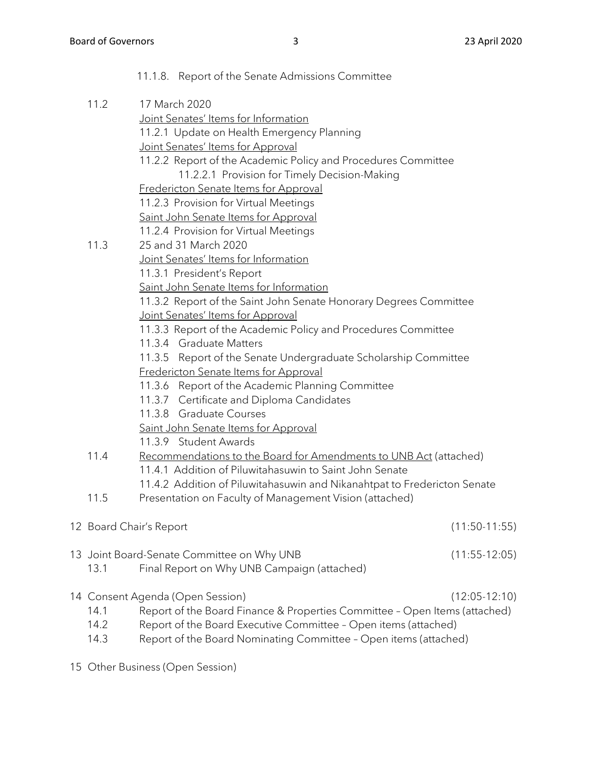|  |      | 11.1.8. Report of the Senate Admissions Committee                          |                 |
|--|------|----------------------------------------------------------------------------|-----------------|
|  | 11.2 | 17 March 2020                                                              |                 |
|  |      | Joint Senates' Items for Information                                       |                 |
|  |      | 11.2.1 Update on Health Emergency Planning                                 |                 |
|  |      | Joint Senates' Items for Approval                                          |                 |
|  |      | 11.2.2 Report of the Academic Policy and Procedures Committee              |                 |
|  |      | 11.2.2.1 Provision for Timely Decision-Making                              |                 |
|  |      | Fredericton Senate Items for Approval                                      |                 |
|  |      | 11.2.3 Provision for Virtual Meetings                                      |                 |
|  |      | Saint John Senate Items for Approval                                       |                 |
|  |      | 11.2.4 Provision for Virtual Meetings                                      |                 |
|  | 11.3 | 25 and 31 March 2020                                                       |                 |
|  |      | Joint Senates' Items for Information                                       |                 |
|  |      | 11.3.1 President's Report                                                  |                 |
|  |      | Saint John Senate Items for Information                                    |                 |
|  |      | 11.3.2 Report of the Saint John Senate Honorary Degrees Committee          |                 |
|  |      | Joint Senates' Items for Approval                                          |                 |
|  |      | 11.3.3 Report of the Academic Policy and Procedures Committee              |                 |
|  |      | 11.3.4 Graduate Matters                                                    |                 |
|  |      | 11.3.5 Report of the Senate Undergraduate Scholarship Committee            |                 |
|  |      | Fredericton Senate Items for Approval                                      |                 |
|  |      | 11.3.6 Report of the Academic Planning Committee                           |                 |
|  |      | 11.3.7 Certificate and Diploma Candidates                                  |                 |
|  |      | 11.3.8 Graduate Courses                                                    |                 |
|  |      | Saint John Senate Items for Approval                                       |                 |
|  |      | 11.3.9 Student Awards                                                      |                 |
|  | 11.4 | Recommendations to the Board for Amendments to UNB Act (attached)          |                 |
|  |      | 11.4.1 Addition of Piluwitahasuwin to Saint John Senate                    |                 |
|  |      | 11.4.2 Addition of Piluwitahasuwin and Nikanahtpat to Fredericton Senate   |                 |
|  | 11.5 | Presentation on Faculty of Management Vision (attached)                    |                 |
|  |      | 12 Board Chair's Report                                                    | $(11:50-11:55)$ |
|  |      |                                                                            |                 |
|  |      | 13 Joint Board-Senate Committee on Why UNB                                 | $(11:55-12:05)$ |
|  | 13.1 | Final Report on Why UNB Campaign (attached)                                |                 |
|  |      | 14 Consent Agenda (Open Session)                                           | $(12:05-12:10)$ |
|  | 14.1 | Report of the Board Finance & Properties Committee - Open Items (attached) |                 |
|  | 14.2 | Report of the Board Executive Committee - Open items (attached)            |                 |
|  | 14.3 | Report of the Board Nominating Committee - Open items (attached)           |                 |

15 Other Business (Open Session)